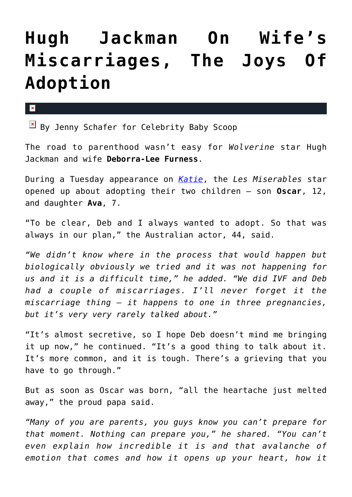## **[Hugh Jackman On Wife's](https://cupidspulse.com/42876/hugh-jackman-miscarriages-adoption/) [Miscarriages, The Joys Of](https://cupidspulse.com/42876/hugh-jackman-miscarriages-adoption/) [Adoption](https://cupidspulse.com/42876/hugh-jackman-miscarriages-adoption/)**

 $\mathbf{z}$ 

 $\boxed{\times}$  By Jenny Schafer for Celebrity Baby Scoop

The road to parenthood wasn't easy for *Wolverine* star Hugh Jackman and wife **Deborra-Lee Furness**.

During a Tuesday appearance on *[Katie](http://www.katiecouric.com/)*, the *Les Miserables* star opened up about adopting their two children — son **Oscar**, 12, and daughter **Ava**, 7.

"To be clear, Deb and I always wanted to adopt. So that was always in our plan," the Australian actor, 44, said.

*"We didn't know where in the process that would happen but biologically obviously we tried and it was not happening for us and it is a difficult time," he added. "We did IVF and Deb had a couple of miscarriages. I'll never forget it the miscarriage thing – it happens to one in three pregnancies, but it's very very rarely talked about."*

"It's almost secretive, so I hope Deb doesn't mind me bringing it up now," he continued. "It's a good thing to talk about it. It's more common, and it is tough. There's a grieving that you have to go through."

But as soon as Oscar was born, "all the heartache just melted away," the proud papa said.

*"Many of you are parents, you guys know you can't prepare for that moment. Nothing can prepare you," he shared. "You can't even explain how incredible it is and that avalanche of emotion that comes and how it opens up your heart, how it*